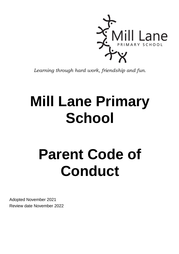

*Learning through hard work, friendship and fun.*

## **Mill Lane Primary School**

# **Parent Code of Conduct**

Adopted November 2021 Review date November 2022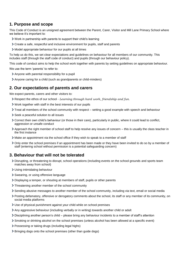## **1. Purpose and scope**

This Code of Conduct is an unsigned agreement between the Parent, Carer, Visitor and Mill Lane Primary School where we believe it's important to:

- Work in partnership with parents to support their child's learning
- Create a safe, respectful and inclusive environment for pupils, staff and parents
- Model appropriate behaviour for our pupils at all times

To help us do this, we set clear expectations and guidelines on behaviour for all members of our community. This includes staff (through the staff code of conduct) and pupils (through our behaviour policy).

This code of conduct aims to help the school work together with parents by setting guidelines on appropriate behaviour.

We use the term 'parents' to refer to:

- Anyone with parental responsibility for a pupil
- Anyone caring for a child (such as grandparents or child-minders)

#### **2. Our expectations of parents and carers**

We expect parents, carers and other visitors to:

- Respect the ethos of our school *Learning through hard work, friendship and fun.*
- Work together with staff in the best interests of our pupils
- Treat all members of the school community with respect setting a good example with speech and behaviour
- Seek a peaceful solution to all issues
- Correct their own child's behaviour (or those in their care), particularly in public, where it could lead to conflict, aggression or unsafe conduct
- Approach the right member of school staff to help resolve any issues of concern this is usually the class teacher in the first instance
- Make an appointment via the school office if they wish to speak to a member of staff
- Only enter the school premises if an appointment has been made or they have been invited to do so by a member of staff (entering school without permission is a potential safeguarding concern)

## **3. Behaviour that will not be tolerated**

- Disrupting, or threatening to disrupt, school operations (including events on the school grounds and sports team matches away from school)
- Using intimidating behaviour
- > Swearing, or using offensive language
- Displaying a temper, or shouting at members of staff, pupils or other parents
- > Threatening another member of the school community
- Sending abusive messages to another member of the school community, including via text, email or social media
- Posting defamatory, offensive or derogatory comments about the school, its staff or any member of its community, on social media platforms
- Use of physical punishment against your child while on school premises
- Any aggressive behaviour (including verbally or in writing) towards another child or adult
- Disciplining another person's child please bring any behaviour incidents to a member of staff's attention
- Smoking or drinking alcohol on the school premises (unless alcohol has been allowed at a specific event)
- Possessing or taking drugs (including legal highs)
- > Bringing dogs onto the school premises (other than guide dogs)